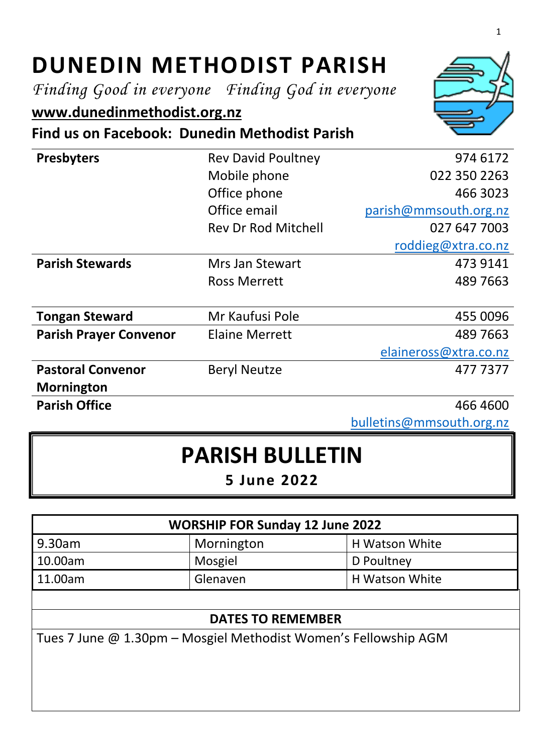# **DUNEDIN METHODIST PARISH**

*Finding Good in everyone Finding God in everyone*

# **[www.dunedinmethodist.org.nz](http://www.dunedinmethodist.org.nz/)**

**Find us on Facebook: Dunedin Methodist Parish**

| <b>Presbyters</b>             | <b>Rev David Poultney</b>  | 974 6172              |
|-------------------------------|----------------------------|-----------------------|
|                               | Mobile phone               | 022 350 2263          |
|                               | Office phone               | 466 3023              |
|                               | Office email               | parish@mmsouth.org.nz |
|                               | <b>Rev Dr Rod Mitchell</b> | 027 647 7003          |
|                               |                            | roddieg@xtra.co.nz    |
| <b>Parish Stewards</b>        | Mrs Jan Stewart            | 473 9141              |
|                               | <b>Ross Merrett</b>        | 489 7663              |
|                               |                            |                       |
| <b>Tongan Steward</b>         | Mr Kaufusi Pole            | 455 0096              |
| <b>Parish Prayer Convenor</b> | <b>Elaine Merrett</b>      | 489 7663              |
|                               |                            | elaineross@xtra.co.nz |
| <b>Pastoral Convenor</b>      | <b>Beryl Neutze</b>        | 477 7377              |
| <b>Mornington</b>             |                            |                       |
| <b>Parish Office</b>          |                            | 466 4600              |

[bulletins@mmsouth.org.nz](mailto:bulletins@mmsouth.org.nz)

# **PARISH BULLETIN**

**5 June 2022**

| <b>WORSHIP FOR Sunday 12 June 2022</b> |            |                |  |
|----------------------------------------|------------|----------------|--|
| 9.30am                                 | Mornington | H Watson White |  |
| 10.00am                                | Mosgiel    | D Poultney     |  |
| 11.00am                                | Glenaven   | H Watson White |  |
|                                        |            |                |  |

#### **DATES TO REMEMBER**

Tues 7 June @ 1.30pm – Mosgiel Methodist Women's Fellowship AGM